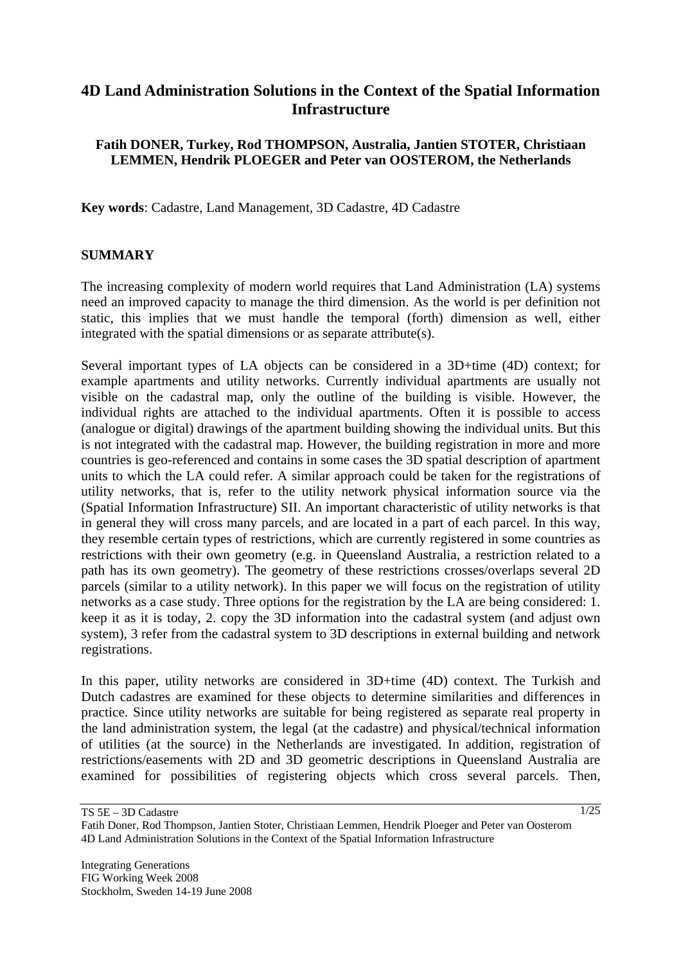# **4D Land Administration Solutions in the Context of the Spatial Information Infrastructure**

## **Fatih DONER, Turkey, Rod THOMPSON, Australia, Jantien STOTER, Christiaan LEMMEN, Hendrik PLOEGER and Peter van OOSTEROM, the Netherlands**

**Key words**: Cadastre, Land Management, 3D Cadastre, 4D Cadastre

### **SUMMARY**

The increasing complexity of modern world requires that Land Administration (LA) systems need an improved capacity to manage the third dimension. As the world is per definition not static, this implies that we must handle the temporal (forth) dimension as well, either integrated with the spatial dimensions or as separate attribute(s).

Several important types of LA objects can be considered in a 3D+time (4D) context; for example apartments and utility networks. Currently individual apartments are usually not visible on the cadastral map, only the outline of the building is visible. However, the individual rights are attached to the individual apartments. Often it is possible to access (analogue or digital) drawings of the apartment building showing the individual units. But this is not integrated with the cadastral map. However, the building registration in more and more countries is geo-referenced and contains in some cases the 3D spatial description of apartment units to which the LA could refer. A similar approach could be taken for the registrations of utility networks, that is, refer to the utility network physical information source via the (Spatial Information Infrastructure) SII. An important characteristic of utility networks is that in general they will cross many parcels, and are located in a part of each parcel. In this way, they resemble certain types of restrictions, which are currently registered in some countries as restrictions with their own geometry (e.g. in Queensland Australia, a restriction related to a path has its own geometry). The geometry of these restrictions crosses/overlaps several 2D parcels (similar to a utility network). In this paper we will focus on the registration of utility networks as a case study. Three options for the registration by the LA are being considered: 1. keep it as it is today, 2. copy the 3D information into the cadastral system (and adjust own system), 3 refer from the cadastral system to 3D descriptions in external building and network registrations.

In this paper, utility networks are considered in 3D+time (4D) context. The Turkish and Dutch cadastres are examined for these objects to determine similarities and differences in practice. Since utility networks are suitable for being registered as separate real property in the land administration system, the legal (at the cadastre) and physical/technical information of utilities (at the source) in the Netherlands are investigated. In addition, registration of restrictions/easements with 2D and 3D geometric descriptions in Queensland Australia are examined for possibilities of registering objects which cross several parcels. Then,

TS 5E – 3D Cadastre

Fatih Doner, Rod Thompson, Jantien Stoter, Christiaan Lemmen, Hendrik Ploeger and Peter van Oosterom 4D Land Administration Solutions in the Context of the Spatial Information Infrastructure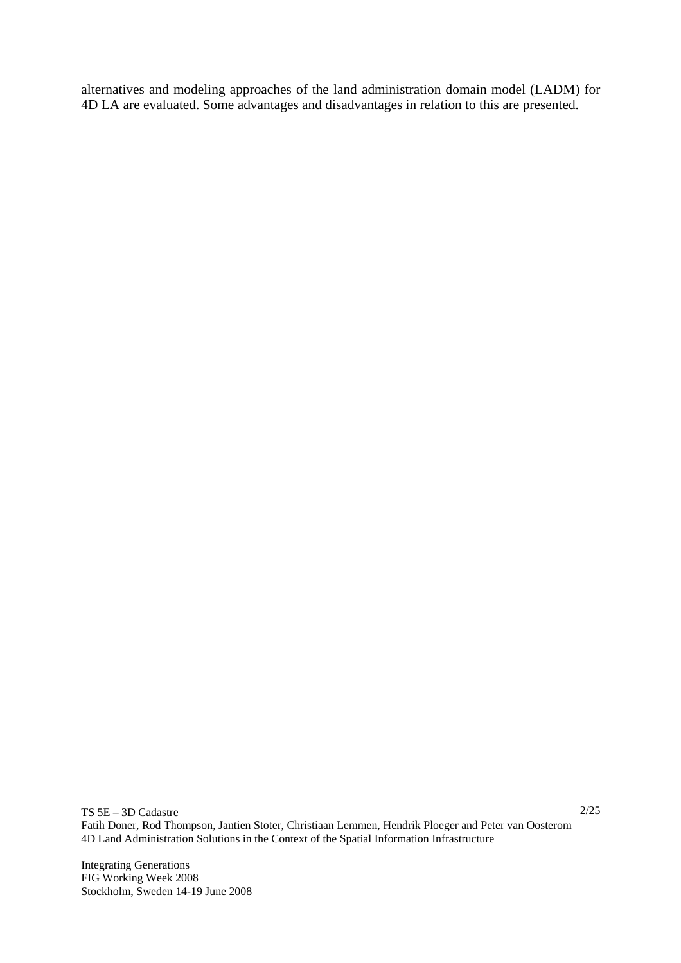alternatives and modeling approaches of the land administration domain model (LADM) for 4D LA are evaluated. Some advantages and disadvantages in relation to this are presented.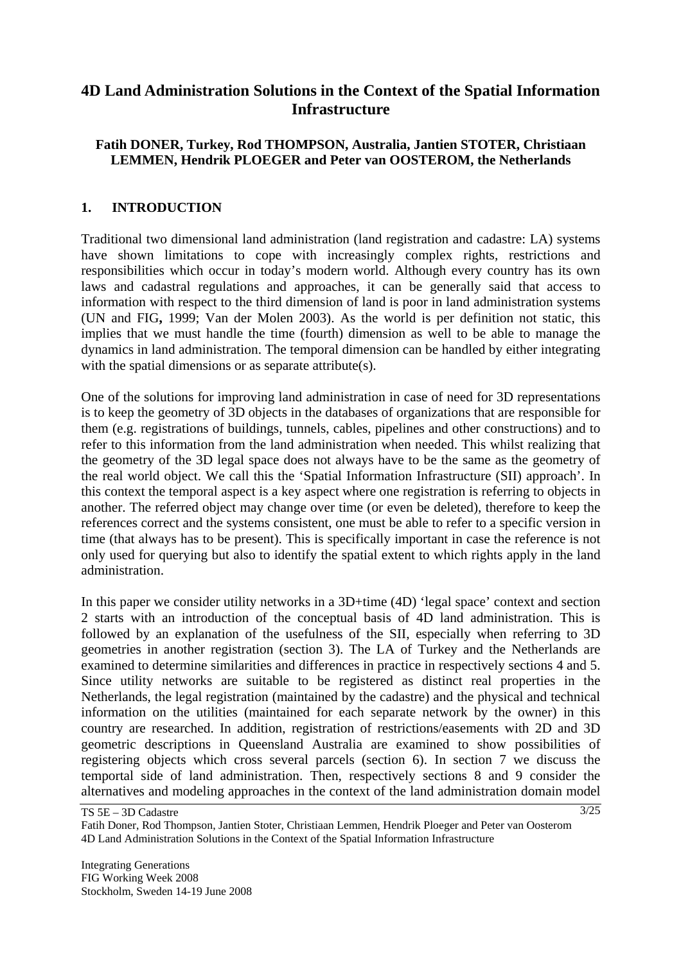# **4D Land Administration Solutions in the Context of the Spatial Information Infrastructure**

## **Fatih DONER, Turkey, Rod THOMPSON, Australia, Jantien STOTER, Christiaan LEMMEN, Hendrik PLOEGER and Peter van OOSTEROM, the Netherlands**

## **1. INTRODUCTION**

Traditional two dimensional land administration (land registration and cadastre: LA) systems have shown limitations to cope with increasingly complex rights, restrictions and responsibilities which occur in today's modern world. Although every country has its own laws and cadastral regulations and approaches, it can be generally said that access to information with respect to the third dimension of land is poor in land administration systems (UN and FIG**,** 1999; Van der Molen 2003). As the world is per definition not static, this implies that we must handle the time (fourth) dimension as well to be able to manage the dynamics in land administration. The temporal dimension can be handled by either integrating with the spatial dimensions or as separate attribute(s).

One of the solutions for improving land administration in case of need for 3D representations is to keep the geometry of 3D objects in the databases of organizations that are responsible for them (e.g. registrations of buildings, tunnels, cables, pipelines and other constructions) and to refer to this information from the land administration when needed. This whilst realizing that the geometry of the 3D legal space does not always have to be the same as the geometry of the real world object. We call this the 'Spatial Information Infrastructure (SII) approach'. In this context the temporal aspect is a key aspect where one registration is referring to objects in another. The referred object may change over time (or even be deleted), therefore to keep the references correct and the systems consistent, one must be able to refer to a specific version in time (that always has to be present). This is specifically important in case the reference is not only used for querying but also to identify the spatial extent to which rights apply in the land administration.

In this paper we consider utility networks in a 3D+time (4D) 'legal space' context and section 2 starts with an introduction of the conceptual basis of 4D land administration. This is followed by an explanation of the usefulness of the SII, especially when referring to 3D geometries in another registration (section 3). The LA of Turkey and the Netherlands are examined to determine similarities and differences in practice in respectively sections 4 and 5. Since utility networks are suitable to be registered as distinct real properties in the Netherlands, the legal registration (maintained by the cadastre) and the physical and technical information on the utilities (maintained for each separate network by the owner) in this country are researched. In addition, registration of restrictions/easements with 2D and 3D geometric descriptions in Queensland Australia are examined to show possibilities of registering objects which cross several parcels (section 6). In section 7 we discuss the temportal side of land administration. Then, respectively sections 8 and 9 consider the alternatives and modeling approaches in the context of the land administration domain model

TS 5E – 3D Cadastre Fatih Doner, Rod Thompson, Jantien Stoter, Christiaan Lemmen, Hendrik Ploeger and Peter van Oosterom 4D Land Administration Solutions in the Context of the Spatial Information Infrastructure

Integrating Generations FIG Working Week 2008 Stockholm, Sweden 14-19 June 2008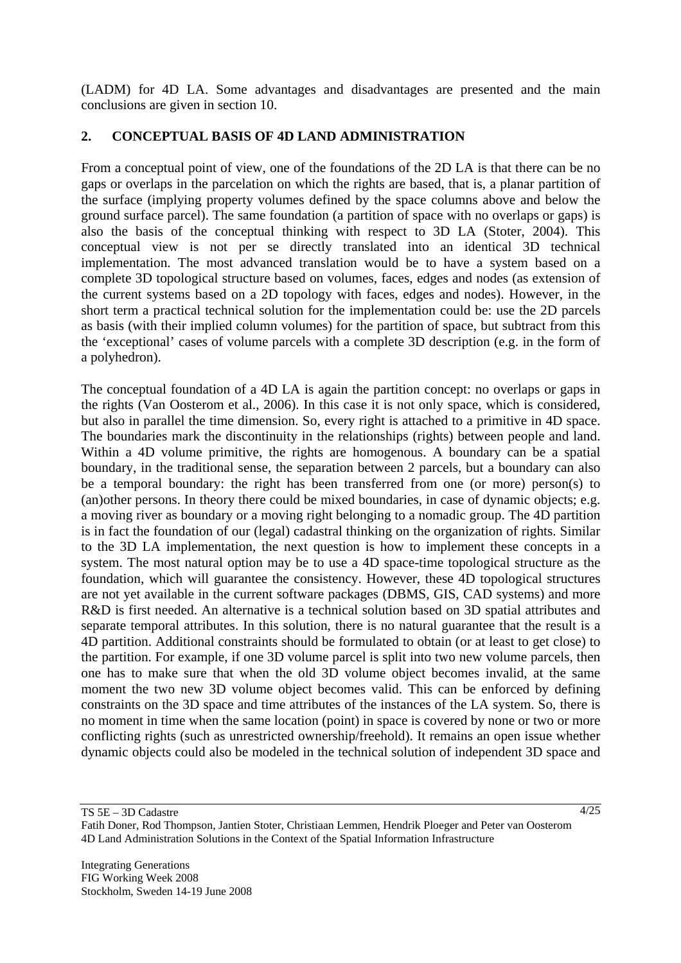(LADM) for 4D LA. Some advantages and disadvantages are presented and the main conclusions are given in section 10.

# **2. CONCEPTUAL BASIS OF 4D LAND ADMINISTRATION**

From a conceptual point of view, one of the foundations of the 2D LA is that there can be no gaps or overlaps in the parcelation on which the rights are based, that is, a planar partition of the surface (implying property volumes defined by the space columns above and below the ground surface parcel). The same foundation (a partition of space with no overlaps or gaps) is also the basis of the conceptual thinking with respect to 3D LA (Stoter, 2004). This conceptual view is not per se directly translated into an identical 3D technical implementation. The most advanced translation would be to have a system based on a complete 3D topological structure based on volumes, faces, edges and nodes (as extension of the current systems based on a 2D topology with faces, edges and nodes). However, in the short term a practical technical solution for the implementation could be: use the 2D parcels as basis (with their implied column volumes) for the partition of space, but subtract from this the 'exceptional' cases of volume parcels with a complete 3D description (e.g. in the form of a polyhedron).

The conceptual foundation of a 4D LA is again the partition concept: no overlaps or gaps in the rights (Van Oosterom et al., 2006). In this case it is not only space, which is considered, but also in parallel the time dimension. So, every right is attached to a primitive in 4D space. The boundaries mark the discontinuity in the relationships (rights) between people and land. Within a 4D volume primitive, the rights are homogenous. A boundary can be a spatial boundary, in the traditional sense, the separation between 2 parcels, but a boundary can also be a temporal boundary: the right has been transferred from one (or more) person(s) to (an)other persons. In theory there could be mixed boundaries, in case of dynamic objects; e.g. a moving river as boundary or a moving right belonging to a nomadic group. The 4D partition is in fact the foundation of our (legal) cadastral thinking on the organization of rights. Similar to the 3D LA implementation, the next question is how to implement these concepts in a system. The most natural option may be to use a 4D space-time topological structure as the foundation, which will guarantee the consistency. However, these 4D topological structures are not yet available in the current software packages (DBMS, GIS, CAD systems) and more R&D is first needed. An alternative is a technical solution based on 3D spatial attributes and separate temporal attributes. In this solution, there is no natural guarantee that the result is a 4D partition. Additional constraints should be formulated to obtain (or at least to get close) to the partition. For example, if one 3D volume parcel is split into two new volume parcels, then one has to make sure that when the old 3D volume object becomes invalid, at the same moment the two new 3D volume object becomes valid. This can be enforced by defining constraints on the 3D space and time attributes of the instances of the LA system. So, there is no moment in time when the same location (point) in space is covered by none or two or more conflicting rights (such as unrestricted ownership/freehold). It remains an open issue whether dynamic objects could also be modeled in the technical solution of independent 3D space and

TS 5E – 3D Cadastre

4/25

Fatih Doner, Rod Thompson, Jantien Stoter, Christiaan Lemmen, Hendrik Ploeger and Peter van Oosterom 4D Land Administration Solutions in the Context of the Spatial Information Infrastructure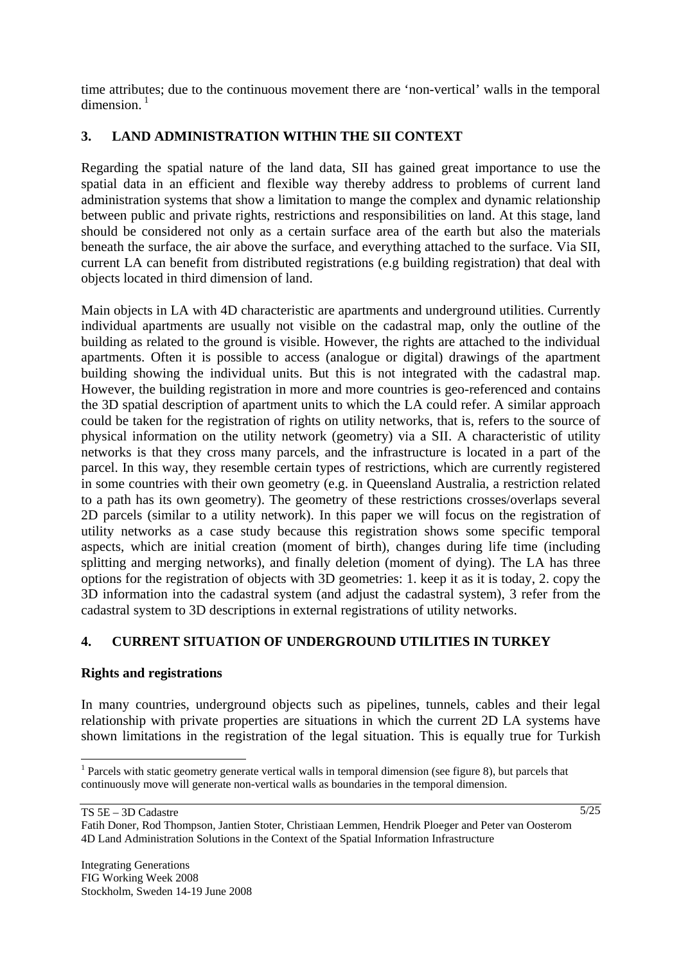time attributes; due to the continuous movement there are 'non-vertical' walls in the temporal  $dimension<sup>1</sup>$ 

# **3. LAND ADMINISTRATION WITHIN THE SII CONTEXT**

Regarding the spatial nature of the land data, SII has gained great importance to use the spatial data in an efficient and flexible way thereby address to problems of current land administration systems that show a limitation to mange the complex and dynamic relationship between public and private rights, restrictions and responsibilities on land. At this stage, land should be considered not only as a certain surface area of the earth but also the materials beneath the surface, the air above the surface, and everything attached to the surface. Via SII, current LA can benefit from distributed registrations (e.g building registration) that deal with objects located in third dimension of land.

Main objects in LA with 4D characteristic are apartments and underground utilities. Currently individual apartments are usually not visible on the cadastral map, only the outline of the building as related to the ground is visible. However, the rights are attached to the individual apartments. Often it is possible to access (analogue or digital) drawings of the apartment building showing the individual units. But this is not integrated with the cadastral map. However, the building registration in more and more countries is geo-referenced and contains the 3D spatial description of apartment units to which the LA could refer. A similar approach could be taken for the registration of rights on utility networks, that is, refers to the source of physical information on the utility network (geometry) via a SII. A characteristic of utility networks is that they cross many parcels, and the infrastructure is located in a part of the parcel. In this way, they resemble certain types of restrictions, which are currently registered in some countries with their own geometry (e.g. in Queensland Australia, a restriction related to a path has its own geometry). The geometry of these restrictions crosses/overlaps several 2D parcels (similar to a utility network). In this paper we will focus on the registration of utility networks as a case study because this registration shows some specific temporal aspects, which are initial creation (moment of birth), changes during life time (including splitting and merging networks), and finally deletion (moment of dying). The LA has three options for the registration of objects with 3D geometries: 1. keep it as it is today, 2. copy the 3D information into the cadastral system (and adjust the cadastral system), 3 refer from the cadastral system to 3D descriptions in external registrations of utility networks.

# **4. CURRENT SITUATION OF UNDERGROUND UTILITIES IN TURKEY**

### **Rights and registrations**

In many countries, underground objects such as pipelines, tunnels, cables and their legal relationship with private properties are situations in which the current 2D LA systems have shown limitations in the registration of the legal situation. This is equally true for Turkish

 $\overline{\phantom{a}}$ <sup>1</sup> Parcels with static geometry generate vertical walls in temporal dimension (see figure 8), but parcels that continuously move will generate non-vertical walls as boundaries in the temporal dimension.

<sup>5/25</sup>

Fatih Doner, Rod Thompson, Jantien Stoter, Christiaan Lemmen, Hendrik Ploeger and Peter van Oosterom 4D Land Administration Solutions in the Context of the Spatial Information Infrastructure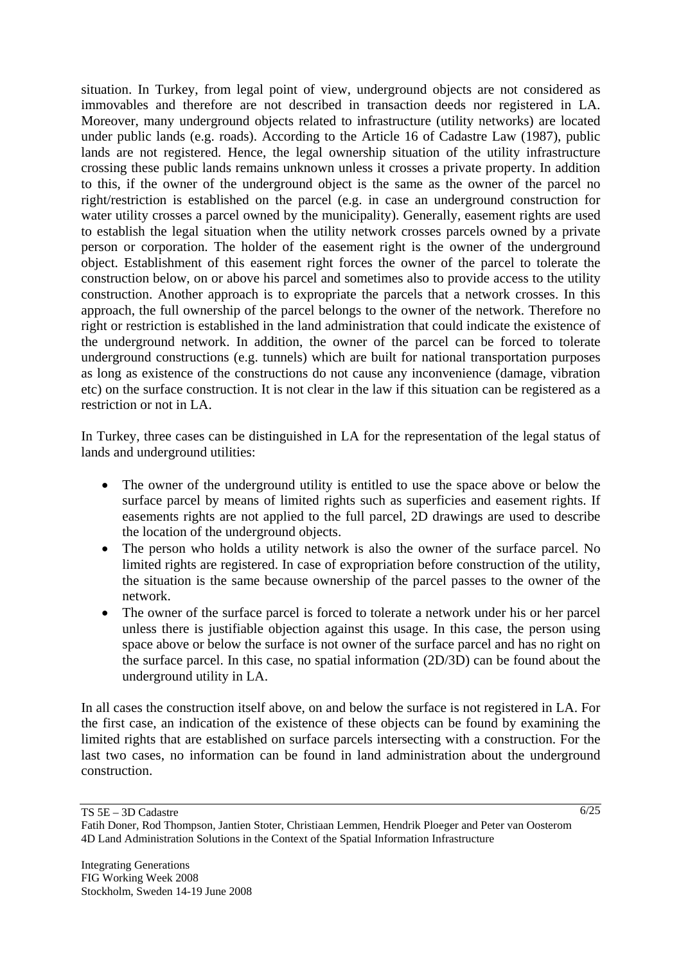situation. In Turkey, from legal point of view, underground objects are not considered as immovables and therefore are not described in transaction deeds nor registered in LA. Moreover, many underground objects related to infrastructure (utility networks) are located under public lands (e.g. roads). According to the Article 16 of Cadastre Law (1987), public lands are not registered. Hence, the legal ownership situation of the utility infrastructure crossing these public lands remains unknown unless it crosses a private property. In addition to this, if the owner of the underground object is the same as the owner of the parcel no right/restriction is established on the parcel (e.g. in case an underground construction for water utility crosses a parcel owned by the municipality). Generally, easement rights are used to establish the legal situation when the utility network crosses parcels owned by a private person or corporation. The holder of the easement right is the owner of the underground object. Establishment of this easement right forces the owner of the parcel to tolerate the construction below, on or above his parcel and sometimes also to provide access to the utility construction. Another approach is to expropriate the parcels that a network crosses. In this approach, the full ownership of the parcel belongs to the owner of the network. Therefore no right or restriction is established in the land administration that could indicate the existence of the underground network. In addition, the owner of the parcel can be forced to tolerate underground constructions (e.g. tunnels) which are built for national transportation purposes as long as existence of the constructions do not cause any inconvenience (damage, vibration etc) on the surface construction. It is not clear in the law if this situation can be registered as a restriction or not in LA.

In Turkey, three cases can be distinguished in LA for the representation of the legal status of lands and underground utilities:

- The owner of the underground utility is entitled to use the space above or below the surface parcel by means of limited rights such as superficies and easement rights. If easements rights are not applied to the full parcel, 2D drawings are used to describe the location of the underground objects.
- The person who holds a utility network is also the owner of the surface parcel. No limited rights are registered. In case of expropriation before construction of the utility, the situation is the same because ownership of the parcel passes to the owner of the network.
- The owner of the surface parcel is forced to tolerate a network under his or her parcel unless there is justifiable objection against this usage. In this case, the person using space above or below the surface is not owner of the surface parcel and has no right on the surface parcel. In this case, no spatial information (2D/3D) can be found about the underground utility in LA.

In all cases the construction itself above, on and below the surface is not registered in LA. For the first case, an indication of the existence of these objects can be found by examining the limited rights that are established on surface parcels intersecting with a construction. For the last two cases, no information can be found in land administration about the underground construction.

TS 5E – 3D Cadastre

Fatih Doner, Rod Thompson, Jantien Stoter, Christiaan Lemmen, Hendrik Ploeger and Peter van Oosterom 4D Land Administration Solutions in the Context of the Spatial Information Infrastructure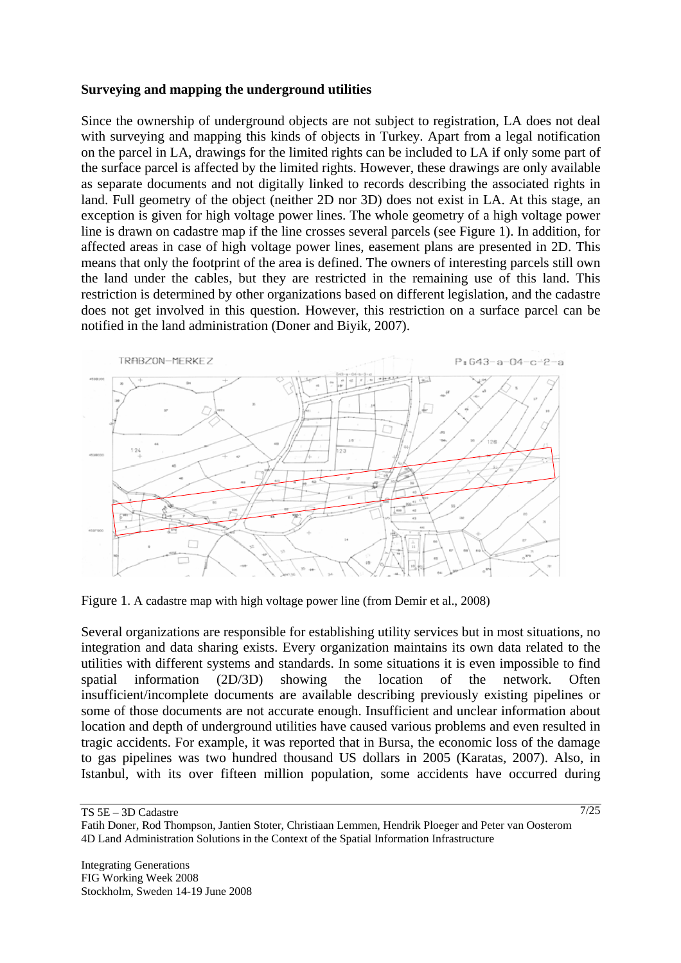### **Surveying and mapping the underground utilities**

Since the ownership of underground objects are not subject to registration, LA does not deal with surveying and mapping this kinds of objects in Turkey. Apart from a legal notification on the parcel in LA, drawings for the limited rights can be included to LA if only some part of the surface parcel is affected by the limited rights. However, these drawings are only available as separate documents and not digitally linked to records describing the associated rights in land. Full geometry of the object (neither 2D nor 3D) does not exist in LA. At this stage, an exception is given for high voltage power lines. The whole geometry of a high voltage power line is drawn on cadastre map if the line crosses several parcels (see Figure 1). In addition, for affected areas in case of high voltage power lines, easement plans are presented in 2D. This means that only the footprint of the area is defined. The owners of interesting parcels still own the land under the cables, but they are restricted in the remaining use of this land. This restriction is determined by other organizations based on different legislation, and the cadastre does not get involved in this question. However, this restriction on a surface parcel can be notified in the land administration (Doner and Biyik, 2007).



Figure 1. A cadastre map with high voltage power line (from Demir et al., 2008)

Several organizations are responsible for establishing utility services but in most situations, no integration and data sharing exists. Every organization maintains its own data related to the utilities with different systems and standards. In some situations it is even impossible to find spatial information (2D/3D) showing the location of the network. Often insufficient/incomplete documents are available describing previously existing pipelines or some of those documents are not accurate enough. Insufficient and unclear information about location and depth of underground utilities have caused various problems and even resulted in tragic accidents. For example, it was reported that in Bursa, the economic loss of the damage to gas pipelines was two hundred thousand US dollars in 2005 (Karatas, 2007). Also, in Istanbul, with its over fifteen million population, some accidents have occurred during

TS 5E – 3D Cadastre

Fatih Doner, Rod Thompson, Jantien Stoter, Christiaan Lemmen, Hendrik Ploeger and Peter van Oosterom 4D Land Administration Solutions in the Context of the Spatial Information Infrastructure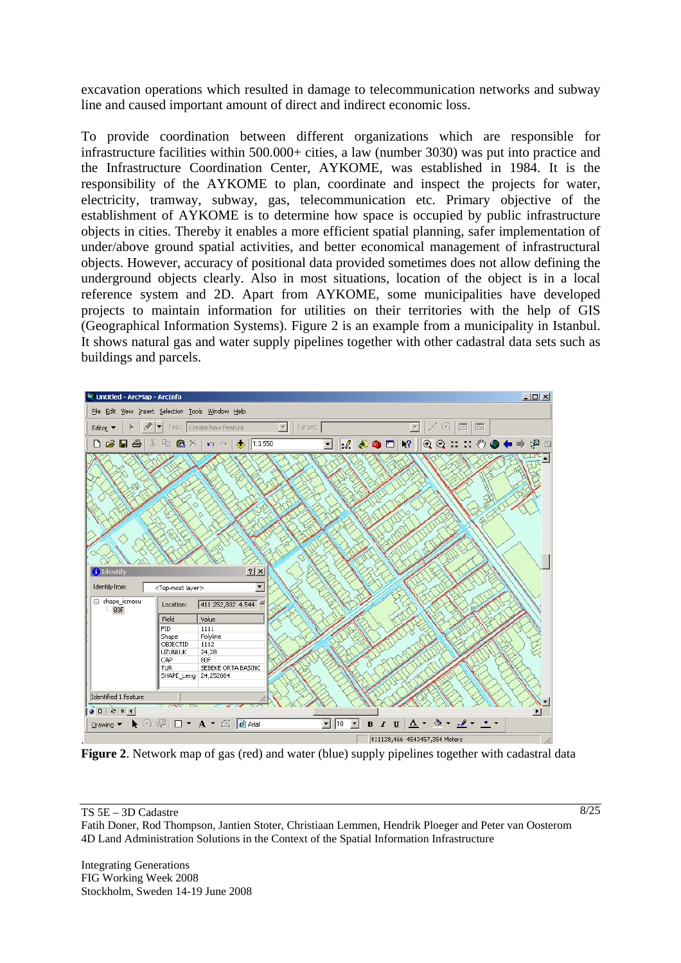excavation operations which resulted in damage to telecommunication networks and subway line and caused important amount of direct and indirect economic loss.

To provide coordination between different organizations which are responsible for infrastructure facilities within 500.000+ cities, a law (number 3030) was put into practice and the Infrastructure Coordination Center, AYKOME, was established in 1984. It is the responsibility of the AYKOME to plan, coordinate and inspect the projects for water, electricity, tramway, subway, gas, telecommunication etc. Primary objective of the establishment of AYKOME is to determine how space is occupied by public infrastructure objects in cities. Thereby it enables a more efficient spatial planning, safer implementation of under/above ground spatial activities, and better economical management of infrastructural objects. However, accuracy of positional data provided sometimes does not allow defining the underground objects clearly. Also in most situations, location of the object is in a local reference system and 2D. Apart from AYKOME, some municipalities have developed projects to maintain information for utilities on their territories with the help of GIS (Geographical Information Systems). Figure 2 is an example from a municipality in Istanbul. It shows natural gas and water supply pipelines together with other cadastral data sets such as buildings and parcels.



**Figure 2**. Network map of gas (red) and water (blue) supply pipelines together with cadastral data

 $8/25$ 

Integrating Generations FIG Working Week 2008 Stockholm, Sweden 14-19 June 2008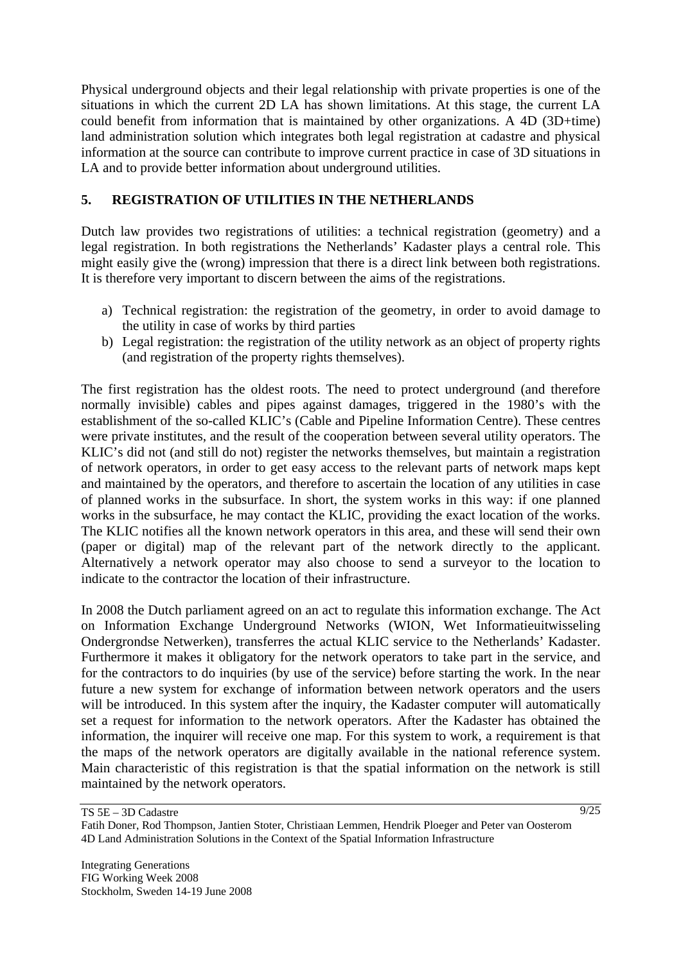Physical underground objects and their legal relationship with private properties is one of the situations in which the current 2D LA has shown limitations. At this stage, the current LA could benefit from information that is maintained by other organizations. A 4D (3D+time) land administration solution which integrates both legal registration at cadastre and physical information at the source can contribute to improve current practice in case of 3D situations in LA and to provide better information about underground utilities.

# **5. REGISTRATION OF UTILITIES IN THE NETHERLANDS**

Dutch law provides two registrations of utilities: a technical registration (geometry) and a legal registration. In both registrations the Netherlands' Kadaster plays a central role. This might easily give the (wrong) impression that there is a direct link between both registrations. It is therefore very important to discern between the aims of the registrations.

- a) Technical registration: the registration of the geometry, in order to avoid damage to the utility in case of works by third parties
- b) Legal registration: the registration of the utility network as an object of property rights (and registration of the property rights themselves).

The first registration has the oldest roots. The need to protect underground (and therefore normally invisible) cables and pipes against damages, triggered in the 1980's with the establishment of the so-called KLIC's (Cable and Pipeline Information Centre). These centres were private institutes, and the result of the cooperation between several utility operators. The KLIC's did not (and still do not) register the networks themselves, but maintain a registration of network operators, in order to get easy access to the relevant parts of network maps kept and maintained by the operators, and therefore to ascertain the location of any utilities in case of planned works in the subsurface. In short, the system works in this way: if one planned works in the subsurface, he may contact the KLIC, providing the exact location of the works. The KLIC notifies all the known network operators in this area, and these will send their own (paper or digital) map of the relevant part of the network directly to the applicant. Alternatively a network operator may also choose to send a surveyor to the location to indicate to the contractor the location of their infrastructure.

In 2008 the Dutch parliament agreed on an act to regulate this information exchange. The Act on Information Exchange Underground Networks (WION, Wet Informatieuitwisseling Ondergrondse Netwerken), transferres the actual KLIC service to the Netherlands' Kadaster. Furthermore it makes it obligatory for the network operators to take part in the service, and for the contractors to do inquiries (by use of the service) before starting the work. In the near future a new system for exchange of information between network operators and the users will be introduced. In this system after the inquiry, the Kadaster computer will automatically set a request for information to the network operators. After the Kadaster has obtained the information, the inquirer will receive one map. For this system to work, a requirement is that the maps of the network operators are digitally available in the national reference system. Main characteristic of this registration is that the spatial information on the network is still maintained by the network operators.

TS 5E – 3D Cadastre Fatih Doner, Rod Thompson, Jantien Stoter, Christiaan Lemmen, Hendrik Ploeger and Peter van Oosterom 4D Land Administration Solutions in the Context of the Spatial Information Infrastructure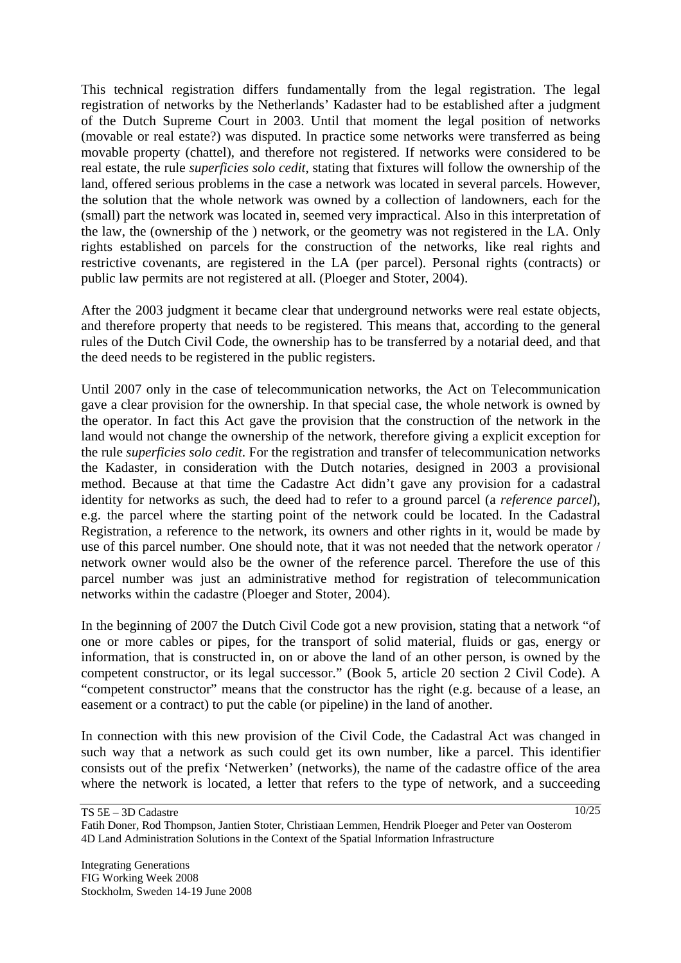This technical registration differs fundamentally from the legal registration. The legal registration of networks by the Netherlands' Kadaster had to be established after a judgment of the Dutch Supreme Court in 2003. Until that moment the legal position of networks (movable or real estate?) was disputed. In practice some networks were transferred as being movable property (chattel), and therefore not registered. If networks were considered to be real estate, the rule *superficies solo cedit*, stating that fixtures will follow the ownership of the land, offered serious problems in the case a network was located in several parcels. However, the solution that the whole network was owned by a collection of landowners, each for the (small) part the network was located in, seemed very impractical. Also in this interpretation of the law, the (ownership of the ) network, or the geometry was not registered in the LA. Only rights established on parcels for the construction of the networks, like real rights and restrictive covenants, are registered in the LA (per parcel). Personal rights (contracts) or public law permits are not registered at all. (Ploeger and Stoter, 2004).

After the 2003 judgment it became clear that underground networks were real estate objects, and therefore property that needs to be registered. This means that, according to the general rules of the Dutch Civil Code, the ownership has to be transferred by a notarial deed, and that the deed needs to be registered in the public registers.

Until 2007 only in the case of telecommunication networks, the Act on Telecommunication gave a clear provision for the ownership. In that special case, the whole network is owned by the operator. In fact this Act gave the provision that the construction of the network in the land would not change the ownership of the network, therefore giving a explicit exception for the rule *superficies solo cedit*. For the registration and transfer of telecommunication networks the Kadaster, in consideration with the Dutch notaries, designed in 2003 a provisional method. Because at that time the Cadastre Act didn't gave any provision for a cadastral identity for networks as such, the deed had to refer to a ground parcel (a *reference parcel*), e.g. the parcel where the starting point of the network could be located. In the Cadastral Registration, a reference to the network, its owners and other rights in it, would be made by use of this parcel number. One should note, that it was not needed that the network operator / network owner would also be the owner of the reference parcel. Therefore the use of this parcel number was just an administrative method for registration of telecommunication networks within the cadastre (Ploeger and Stoter, 2004).

In the beginning of 2007 the Dutch Civil Code got a new provision, stating that a network "of one or more cables or pipes, for the transport of solid material, fluids or gas, energy or information, that is constructed in, on or above the land of an other person, is owned by the competent constructor, or its legal successor." (Book 5, article 20 section 2 Civil Code). A "competent constructor" means that the constructor has the right (e.g. because of a lease, an easement or a contract) to put the cable (or pipeline) in the land of another.

In connection with this new provision of the Civil Code, the Cadastral Act was changed in such way that a network as such could get its own number, like a parcel. This identifier consists out of the prefix 'Netwerken' (networks), the name of the cadastre office of the area where the network is located, a letter that refers to the type of network, and a succeeding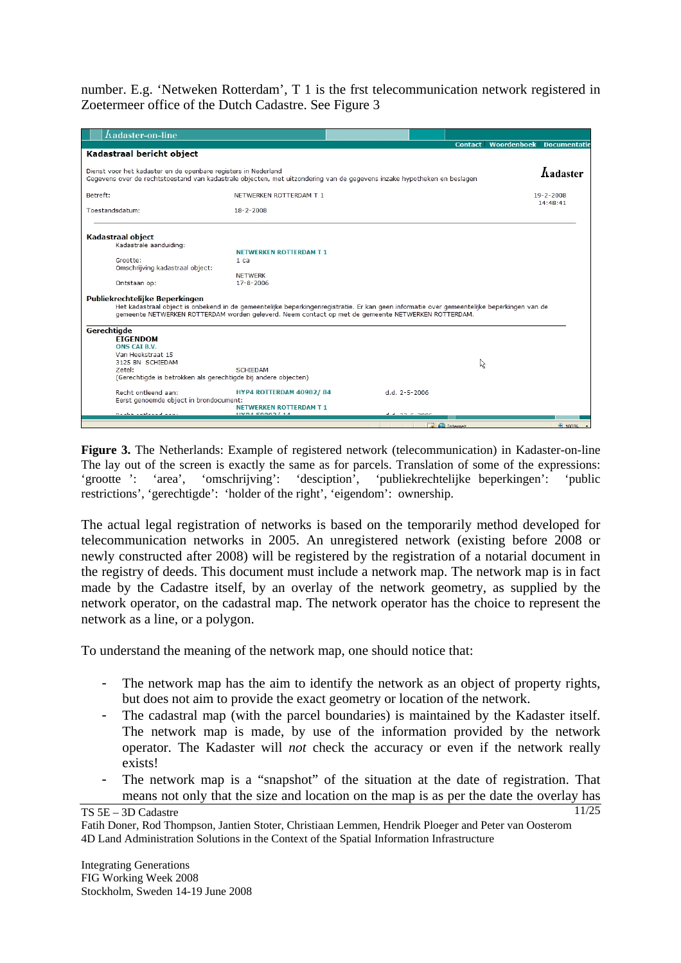number. E.g. 'Netweken Rotterdam', T 1 is the frst telecommunication network registered in Zoetermeer office of the Dutch Cadastre. See Figure 3

| $\Lambda$ adaster-on-line                                                                                                                                                                                                                                                          |                                                        |                     |                                                   |
|------------------------------------------------------------------------------------------------------------------------------------------------------------------------------------------------------------------------------------------------------------------------------------|--------------------------------------------------------|---------------------|---------------------------------------------------|
| Kadastraal bericht object                                                                                                                                                                                                                                                          |                                                        |                     | <b>Contact Woordenboek</b><br><b>Documentatie</b> |
| Dienst voor het kadaster en de openbare registers in Nederland                                                                                                                                                                                                                     |                                                        |                     |                                                   |
| Gegevens over de rechtstoestand van kadastrale objecten, met uitzondering van de gegevens inzake hypotheken en beslagen                                                                                                                                                            |                                                        |                     | <b>hadaster</b>                                   |
| Betreft:                                                                                                                                                                                                                                                                           | NETWERKEN ROTTERDAM T 1                                |                     | $19 - 2 - 2008$                                   |
| Toestandsdatum:                                                                                                                                                                                                                                                                    | $18 - 2 - 2008$                                        |                     | 14:48:41                                          |
| <b>Kadastraal object</b>                                                                                                                                                                                                                                                           |                                                        |                     |                                                   |
| Kadastrale aanduiding:                                                                                                                                                                                                                                                             | <b>NETWERKEN ROTTERDAM T 1</b>                         |                     |                                                   |
| Grootte:                                                                                                                                                                                                                                                                           | 1 <sub>ca</sub>                                        |                     |                                                   |
| Omschrijving kadastraal object:                                                                                                                                                                                                                                                    |                                                        |                     |                                                   |
|                                                                                                                                                                                                                                                                                    | <b>NETWERK</b>                                         |                     |                                                   |
| Ontstaan op:                                                                                                                                                                                                                                                                       | $17 - 8 - 2006$                                        |                     |                                                   |
| Publiekrechtelijke Beperkingen<br>Het kadastraal object is onbekend in de gemeentelijke beperkingenregistratie. Er kan geen informatie over gemeentelijke beperkingen van de<br>gemeente NETWERKEN ROTTERDAM worden geleverd. Neem contact op met de gemeente NETWERKEN ROTTERDAM. |                                                        |                     |                                                   |
| Gerechtigde                                                                                                                                                                                                                                                                        |                                                        |                     |                                                   |
| <b>EIGENDOM</b>                                                                                                                                                                                                                                                                    |                                                        |                     |                                                   |
| ONS CAI B.V.<br>Van Heekstraat 15                                                                                                                                                                                                                                                  |                                                        |                     |                                                   |
| 3125 BN SCHIEDAM                                                                                                                                                                                                                                                                   |                                                        |                     | ド                                                 |
| Zetel:                                                                                                                                                                                                                                                                             | <b>SCHIFDAM</b>                                        |                     |                                                   |
| (Gerechtigde is betrokken als gerechtigde bij andere objecten)                                                                                                                                                                                                                     |                                                        |                     |                                                   |
| Recht ontleend aan:                                                                                                                                                                                                                                                                | HYP4 ROTTERDAM 40982/84                                | $d.d. 2 - 5 - 2006$ |                                                   |
| Eerst genoemde object in brondocument:                                                                                                                                                                                                                                             |                                                        |                     |                                                   |
| Dealer and condition                                                                                                                                                                                                                                                               | <b>NETWERKEN ROTTERDAM T 1</b><br><b>UVDA E0003/14</b> | <b>Line Chang</b>   |                                                   |
|                                                                                                                                                                                                                                                                                    |                                                        |                     |                                                   |
|                                                                                                                                                                                                                                                                                    |                                                        | nternet             | 0.100%                                            |

**Figure 3.** The Netherlands: Example of registered network (telecommunication) in Kadaster-on-line The lay out of the screen is exactly the same as for parcels. Translation of some of the expressions: 'grootte ': 'area', 'omschrijving': 'desciption', 'publiekrechtelijke beperkingen': 'public restrictions', 'gerechtigde': 'holder of the right', 'eigendom': ownership.

The actual legal registration of networks is based on the temporarily method developed for telecommunication networks in 2005. An unregistered network (existing before 2008 or newly constructed after 2008) will be registered by the registration of a notarial document in the registry of deeds. This document must include a network map. The network map is in fact made by the Cadastre itself, by an overlay of the network geometry, as supplied by the network operator, on the cadastral map. The network operator has the choice to represent the network as a line, or a polygon.

To understand the meaning of the network map, one should notice that:

- The network map has the aim to identify the network as an object of property rights, but does not aim to provide the exact geometry or location of the network.
- The cadastral map (with the parcel boundaries) is maintained by the Kadaster itself. The network map is made, by use of the information provided by the network operator. The Kadaster will *not* check the accuracy or even if the network really exists!
- The network map is a "snapshot" of the situation at the date of registration. That means not only that the size and location on the map is as per the date the overlay has

TS 5E – 3D Cadastre

Fatih Doner, Rod Thompson, Jantien Stoter, Christiaan Lemmen, Hendrik Ploeger and Peter van Oosterom 4D Land Administration Solutions in the Context of the Spatial Information Infrastructure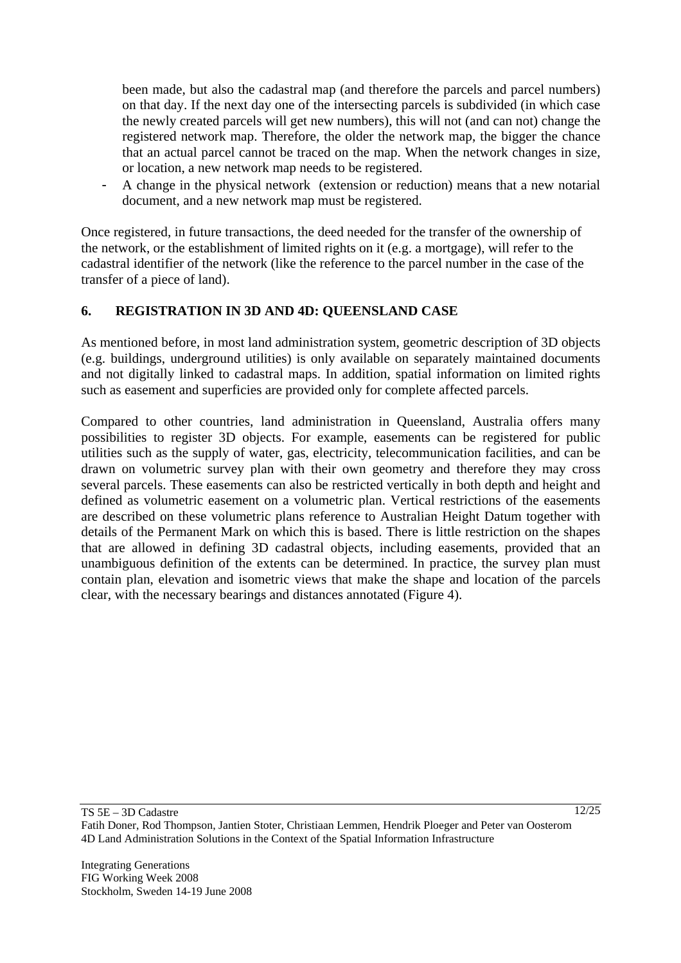been made, but also the cadastral map (and therefore the parcels and parcel numbers) on that day. If the next day one of the intersecting parcels is subdivided (in which case the newly created parcels will get new numbers), this will not (and can not) change the registered network map. Therefore, the older the network map, the bigger the chance that an actual parcel cannot be traced on the map. When the network changes in size, or location, a new network map needs to be registered.

- A change in the physical network (extension or reduction) means that a new notarial document, and a new network map must be registered.

Once registered, in future transactions, the deed needed for the transfer of the ownership of the network, or the establishment of limited rights on it (e.g. a mortgage), will refer to the cadastral identifier of the network (like the reference to the parcel number in the case of the transfer of a piece of land).

## **6. REGISTRATION IN 3D AND 4D: QUEENSLAND CASE**

As mentioned before, in most land administration system, geometric description of 3D objects (e.g. buildings, underground utilities) is only available on separately maintained documents and not digitally linked to cadastral maps. In addition, spatial information on limited rights such as easement and superficies are provided only for complete affected parcels.

Compared to other countries, land administration in Queensland, Australia offers many possibilities to register 3D objects. For example, easements can be registered for public utilities such as the supply of water, gas, electricity, telecommunication facilities, and can be drawn on volumetric survey plan with their own geometry and therefore they may cross several parcels. These easements can also be restricted vertically in both depth and height and defined as volumetric easement on a volumetric plan. Vertical restrictions of the easements are described on these volumetric plans reference to Australian Height Datum together with details of the Permanent Mark on which this is based. There is little restriction on the shapes that are allowed in defining 3D cadastral objects, including easements, provided that an unambiguous definition of the extents can be determined. In practice, the survey plan must contain plan, elevation and isometric views that make the shape and location of the parcels clear, with the necessary bearings and distances annotated (Figure 4).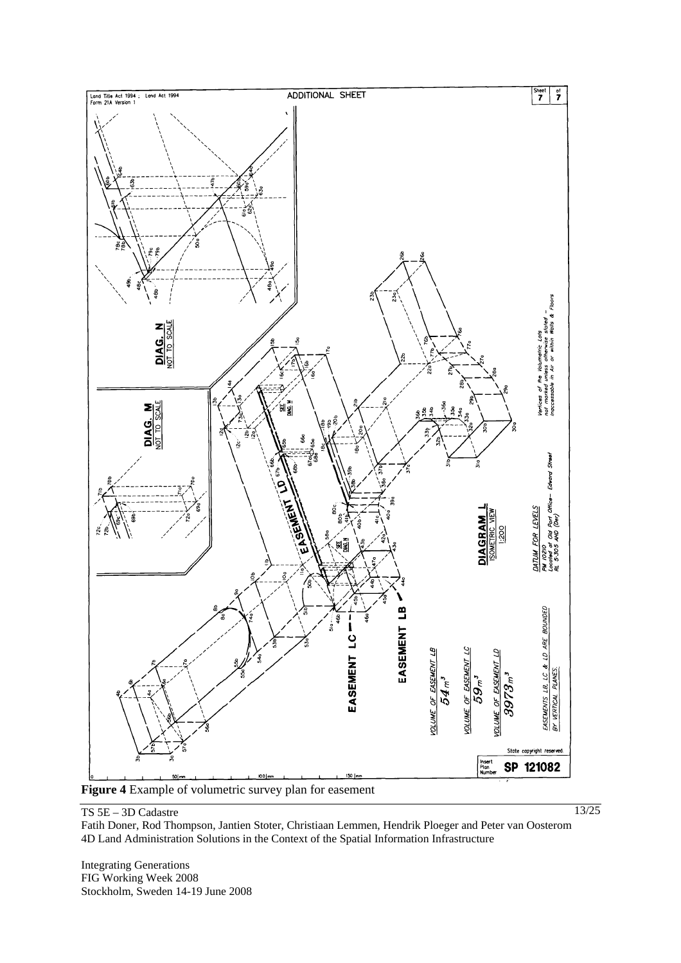

**Figure 4** Example of volumetric survey plan for easement

#### TS 5E – 3D Cadastre

Fatih Doner, Rod Thompson, Jantien Stoter, Christiaan Lemmen, Hendrik Ploeger and Peter van Oosterom 4D Land Administration Solutions in the Context of the Spatial Information Infrastructure

Integrating Generations FIG Working Week 2008 Stockholm, Sweden 14-19 June 2008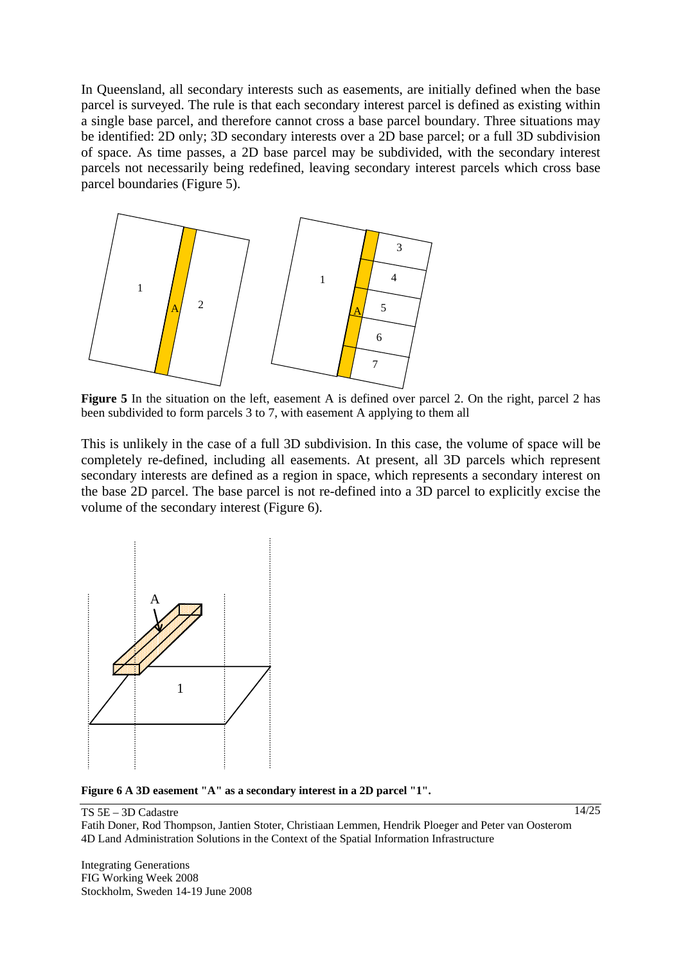In Queensland, all secondary interests such as easements, are initially defined when the base parcel is surveyed. The rule is that each secondary interest parcel is defined as existing within a single base parcel, and therefore cannot cross a base parcel boundary. Three situations may be identified: 2D only; 3D secondary interests over a 2D base parcel; or a full 3D subdivision of space. As time passes, a 2D base parcel may be subdivided, with the secondary interest parcels not necessarily being redefined, leaving secondary interest parcels which cross base parcel boundaries (Figure 5).



**Figure 5** In the situation on the left, easement A is defined over parcel 2. On the right, parcel 2 has been subdivided to form parcels 3 to 7, with easement A applying to them all

This is unlikely in the case of a full 3D subdivision. In this case, the volume of space will be completely re-defined, including all easements. At present, all 3D parcels which represent secondary interests are defined as a region in space, which represents a secondary interest on the base 2D parcel. The base parcel is not re-defined into a 3D parcel to explicitly excise the volume of the secondary interest (Figure 6).



**Figure 6 A 3D easement "A" as a secondary interest in a 2D parcel "1".**

TS 5E – 3D Cadastre Fatih Doner, Rod Thompson, Jantien Stoter, Christiaan Lemmen, Hendrik Ploeger and Peter van Oosterom 4D Land Administration Solutions in the Context of the Spatial Information Infrastructure

Integrating Generations FIG Working Week 2008 Stockholm, Sweden 14-19 June 2008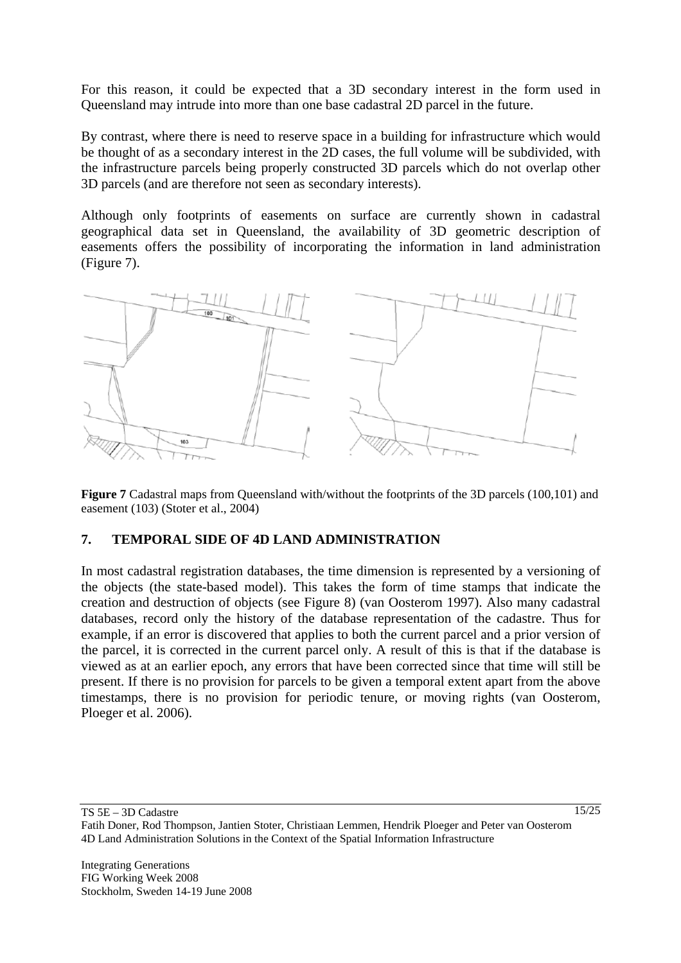For this reason, it could be expected that a 3D secondary interest in the form used in Queensland may intrude into more than one base cadastral 2D parcel in the future.

By contrast, where there is need to reserve space in a building for infrastructure which would be thought of as a secondary interest in the 2D cases, the full volume will be subdivided, with the infrastructure parcels being properly constructed 3D parcels which do not overlap other 3D parcels (and are therefore not seen as secondary interests).

Although only footprints of easements on surface are currently shown in cadastral geographical data set in Queensland, the availability of 3D geometric description of easements offers the possibility of incorporating the information in land administration (Figure 7).



**Figure 7** Cadastral maps from Queensland with/without the footprints of the 3D parcels (100,101) and easement (103) (Stoter et al., 2004)

### **7. TEMPORAL SIDE OF 4D LAND ADMINISTRATION**

In most cadastral registration databases, the time dimension is represented by a versioning of the objects (the state-based model). This takes the form of time stamps that indicate the creation and destruction of objects (see Figure 8) (van Oosterom 1997). Also many cadastral databases, record only the history of the database representation of the cadastre. Thus for example, if an error is discovered that applies to both the current parcel and a prior version of the parcel, it is corrected in the current parcel only. A result of this is that if the database is viewed as at an earlier epoch, any errors that have been corrected since that time will still be present. If there is no provision for parcels to be given a temporal extent apart from the above timestamps, there is no provision for periodic tenure, or moving rights (van Oosterom, Ploeger et al. 2006).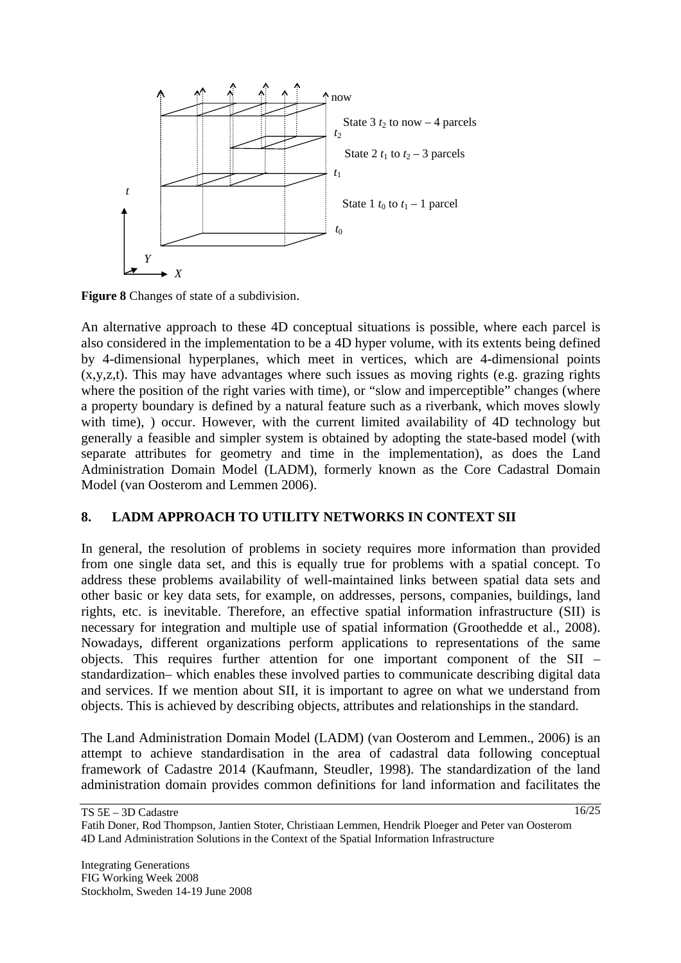

**Figure 8** Changes of state of a subdivision.

An alternative approach to these 4D conceptual situations is possible, where each parcel is also considered in the implementation to be a 4D hyper volume, with its extents being defined by 4-dimensional hyperplanes, which meet in vertices, which are 4-dimensional points (x,y,z,t). This may have advantages where such issues as moving rights (e.g. grazing rights where the position of the right varies with time), or "slow and imperceptible" changes (where a property boundary is defined by a natural feature such as a riverbank, which moves slowly with time), ) occur. However, with the current limited availability of 4D technology but generally a feasible and simpler system is obtained by adopting the state-based model (with separate attributes for geometry and time in the implementation), as does the Land Administration Domain Model (LADM), formerly known as the Core Cadastral Domain Model (van Oosterom and Lemmen 2006).

# **8. LADM APPROACH TO UTILITY NETWORKS IN CONTEXT SII**

In general, the resolution of problems in society requires more information than provided from one single data set, and this is equally true for problems with a spatial concept. To address these problems availability of well-maintained links between spatial data sets and other basic or key data sets, for example, on addresses, persons, companies, buildings, land rights, etc. is inevitable. Therefore, an effective spatial information infrastructure (SII) is necessary for integration and multiple use of spatial information (Groothedde et al., 2008). Nowadays, different organizations perform applications to representations of the same objects. This requires further attention for one important component of the SII – standardization– which enables these involved parties to communicate describing digital data and services. If we mention about SII, it is important to agree on what we understand from objects. This is achieved by describing objects, attributes and relationships in the standard.

The Land Administration Domain Model (LADM) (van Oosterom and Lemmen., 2006) is an attempt to achieve standardisation in the area of cadastral data following conceptual framework of Cadastre 2014 (Kaufmann, Steudler, 1998). The standardization of the land administration domain provides common definitions for land information and facilitates the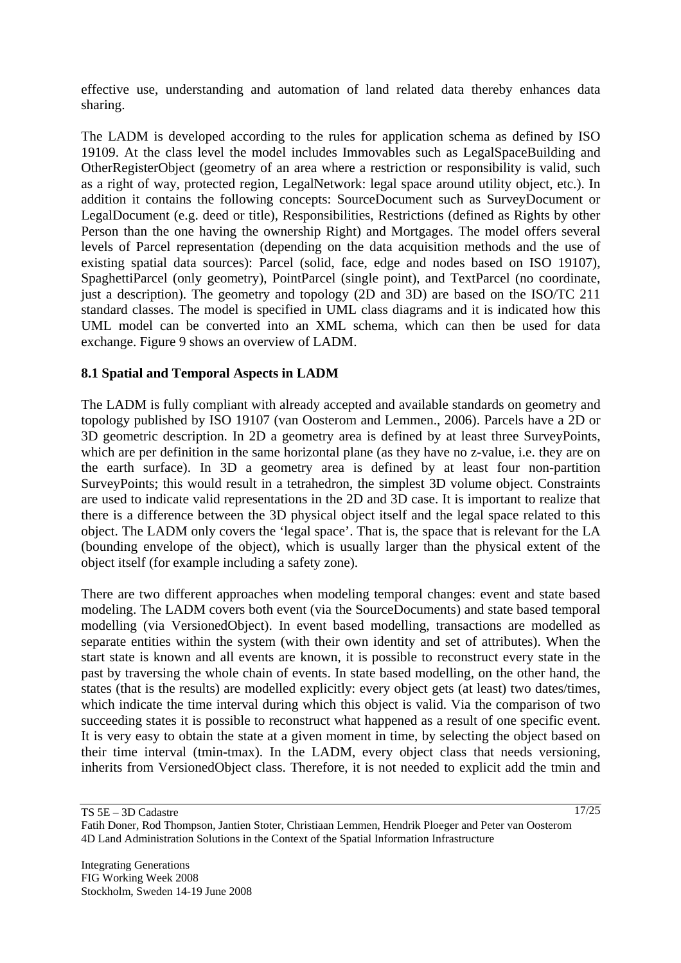effective use, understanding and automation of land related data thereby enhances data sharing.

The LADM is developed according to the rules for application schema as defined by ISO 19109. At the class level the model includes Immovables such as LegalSpaceBuilding and OtherRegisterObject (geometry of an area where a restriction or responsibility is valid, such as a right of way, protected region, LegalNetwork: legal space around utility object, etc.). In addition it contains the following concepts: SourceDocument such as SurveyDocument or LegalDocument (e.g. deed or title), Responsibilities, Restrictions (defined as Rights by other Person than the one having the ownership Right) and Mortgages. The model offers several levels of Parcel representation (depending on the data acquisition methods and the use of existing spatial data sources): Parcel (solid, face, edge and nodes based on ISO 19107), SpaghettiParcel (only geometry), PointParcel (single point), and TextParcel (no coordinate, just a description). The geometry and topology (2D and 3D) are based on the ISO/TC 211 standard classes. The model is specified in UML class diagrams and it is indicated how this UML model can be converted into an XML schema, which can then be used for data exchange. Figure 9 shows an overview of LADM.

### **8.1 Spatial and Temporal Aspects in LADM**

The LADM is fully compliant with already accepted and available standards on geometry and topology published by ISO 19107 (van Oosterom and Lemmen., 2006). Parcels have a 2D or 3D geometric description. In 2D a geometry area is defined by at least three SurveyPoints, which are per definition in the same horizontal plane (as they have no z-value, i.e. they are on the earth surface). In 3D a geometry area is defined by at least four non-partition SurveyPoints; this would result in a tetrahedron, the simplest 3D volume object. Constraints are used to indicate valid representations in the 2D and 3D case. It is important to realize that there is a difference between the 3D physical object itself and the legal space related to this object. The LADM only covers the 'legal space'. That is, the space that is relevant for the LA (bounding envelope of the object), which is usually larger than the physical extent of the object itself (for example including a safety zone).

There are two different approaches when modeling temporal changes: event and state based modeling. The LADM covers both event (via the SourceDocuments) and state based temporal modelling (via VersionedObject). In event based modelling, transactions are modelled as separate entities within the system (with their own identity and set of attributes). When the start state is known and all events are known, it is possible to reconstruct every state in the past by traversing the whole chain of events. In state based modelling, on the other hand, the states (that is the results) are modelled explicitly: every object gets (at least) two dates/times, which indicate the time interval during which this object is valid. Via the comparison of two succeeding states it is possible to reconstruct what happened as a result of one specific event. It is very easy to obtain the state at a given moment in time, by selecting the object based on their time interval (tmin-tmax). In the LADM, every object class that needs versioning, inherits from VersionedObject class. Therefore, it is not needed to explicit add the tmin and

TS 5E – 3D Cadastre

Fatih Doner, Rod Thompson, Jantien Stoter, Christiaan Lemmen, Hendrik Ploeger and Peter van Oosterom 4D Land Administration Solutions in the Context of the Spatial Information Infrastructure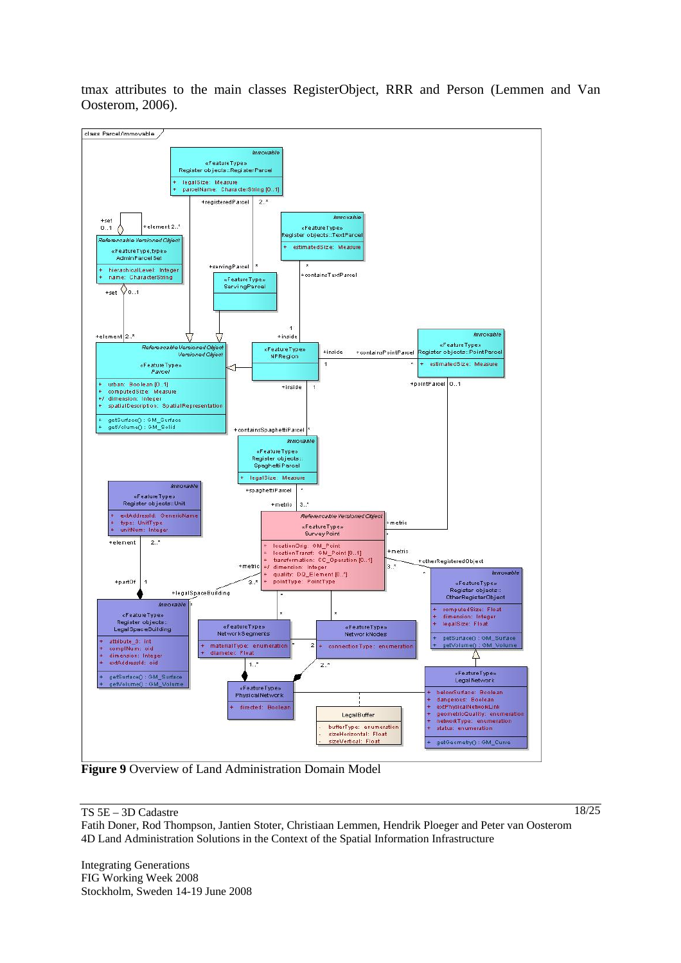tmax attributes to the main classes RegisterObject, RRR and Person (Lemmen and Van Oosterom, 2006).



**Figure 9** Overview of Land Administration Domain Model

#### TS 5E – 3D Cadastre

18/25

Fatih Doner, Rod Thompson, Jantien Stoter, Christiaan Lemmen, Hendrik Ploeger and Peter van Oosterom 4D Land Administration Solutions in the Context of the Spatial Information Infrastructure

Integrating Generations FIG Working Week 2008 Stockholm, Sweden 14-19 June 2008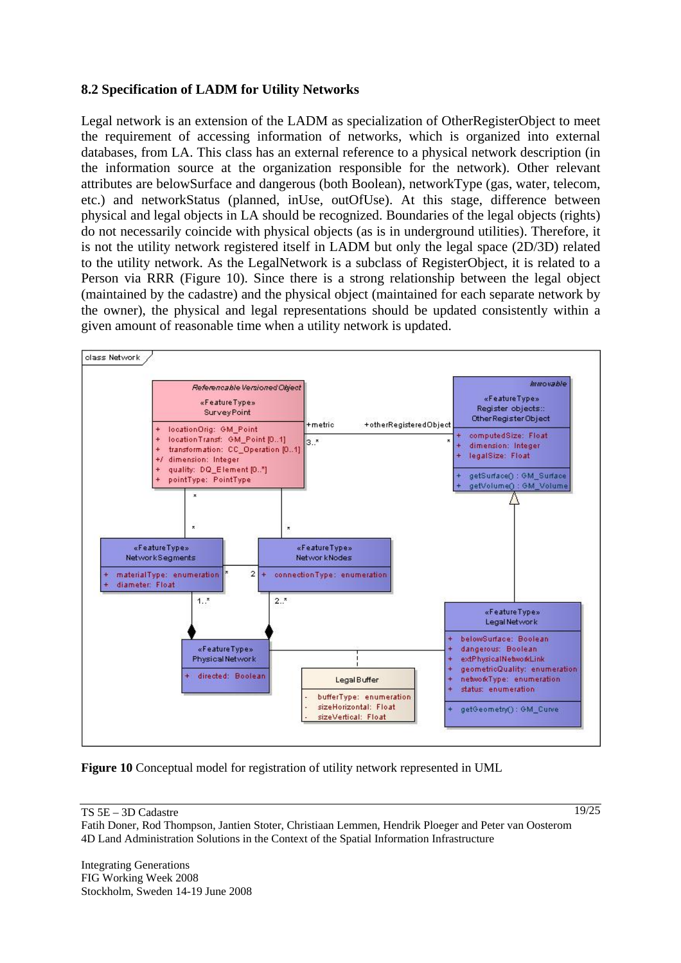### **8.2 Specification of LADM for Utility Networks**

Legal network is an extension of the LADM as specialization of OtherRegisterObject to meet the requirement of accessing information of networks, which is organized into external databases, from LA. This class has an external reference to a physical network description (in the information source at the organization responsible for the network). Other relevant attributes are belowSurface and dangerous (both Boolean), networkType (gas, water, telecom, etc.) and networkStatus (planned, inUse, outOfUse). At this stage, difference between physical and legal objects in LA should be recognized. Boundaries of the legal objects (rights) do not necessarily coincide with physical objects (as is in underground utilities). Therefore, it is not the utility network registered itself in LADM but only the legal space (2D/3D) related to the utility network. As the LegalNetwork is a subclass of RegisterObject, it is related to a Person via RRR (Figure 10). Since there is a strong relationship between the legal object (maintained by the cadastre) and the physical object (maintained for each separate network by the owner), the physical and legal representations should be updated consistently within a given amount of reasonable time when a utility network is updated.



**Figure 10** Conceptual model for registration of utility network represented in UML

#### TS 5E – 3D Cadastre

19/25

Fatih Doner, Rod Thompson, Jantien Stoter, Christiaan Lemmen, Hendrik Ploeger and Peter van Oosterom 4D Land Administration Solutions in the Context of the Spatial Information Infrastructure

Integrating Generations FIG Working Week 2008 Stockholm, Sweden 14-19 June 2008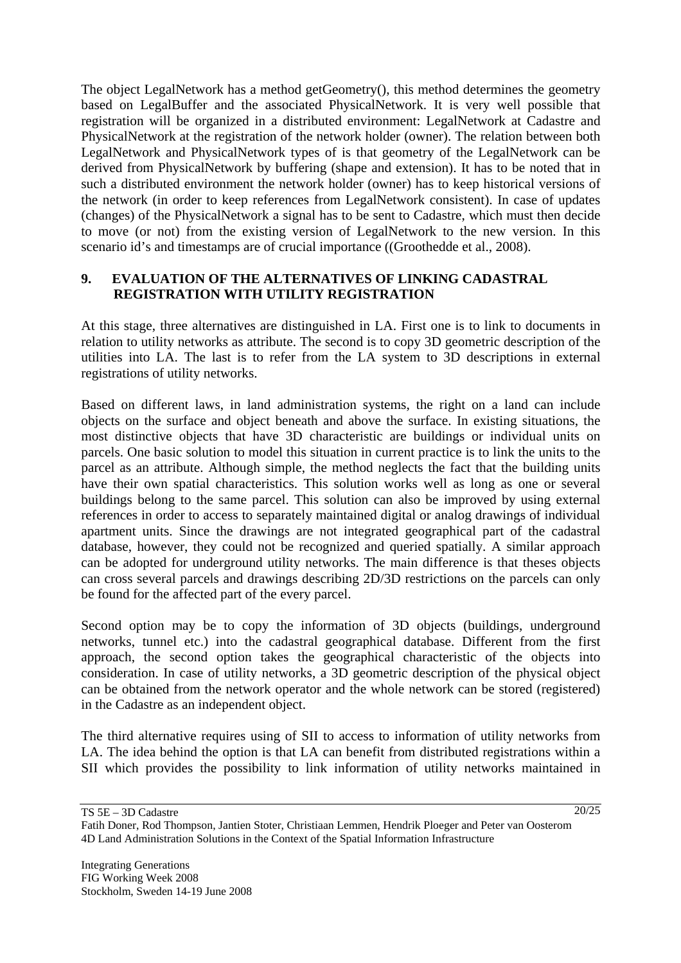The object LegalNetwork has a method getGeometry(), this method determines the geometry based on LegalBuffer and the associated PhysicalNetwork. It is very well possible that registration will be organized in a distributed environment: LegalNetwork at Cadastre and PhysicalNetwork at the registration of the network holder (owner). The relation between both LegalNetwork and PhysicalNetwork types of is that geometry of the LegalNetwork can be derived from PhysicalNetwork by buffering (shape and extension). It has to be noted that in such a distributed environment the network holder (owner) has to keep historical versions of the network (in order to keep references from LegalNetwork consistent). In case of updates (changes) of the PhysicalNetwork a signal has to be sent to Cadastre, which must then decide to move (or not) from the existing version of LegalNetwork to the new version. In this scenario id's and timestamps are of crucial importance ((Groothedde et al., 2008).

## **9. EVALUATION OF THE ALTERNATIVES OF LINKING CADASTRAL REGISTRATION WITH UTILITY REGISTRATION**

At this stage, three alternatives are distinguished in LA. First one is to link to documents in relation to utility networks as attribute. The second is to copy 3D geometric description of the utilities into LA. The last is to refer from the LA system to 3D descriptions in external registrations of utility networks.

Based on different laws, in land administration systems, the right on a land can include objects on the surface and object beneath and above the surface. In existing situations, the most distinctive objects that have 3D characteristic are buildings or individual units on parcels. One basic solution to model this situation in current practice is to link the units to the parcel as an attribute. Although simple, the method neglects the fact that the building units have their own spatial characteristics. This solution works well as long as one or several buildings belong to the same parcel. This solution can also be improved by using external references in order to access to separately maintained digital or analog drawings of individual apartment units. Since the drawings are not integrated geographical part of the cadastral database, however, they could not be recognized and queried spatially. A similar approach can be adopted for underground utility networks. The main difference is that theses objects can cross several parcels and drawings describing 2D/3D restrictions on the parcels can only be found for the affected part of the every parcel.

Second option may be to copy the information of 3D objects (buildings, underground networks, tunnel etc.) into the cadastral geographical database. Different from the first approach, the second option takes the geographical characteristic of the objects into consideration. In case of utility networks, a 3D geometric description of the physical object can be obtained from the network operator and the whole network can be stored (registered) in the Cadastre as an independent object.

The third alternative requires using of SII to access to information of utility networks from LA. The idea behind the option is that LA can benefit from distributed registrations within a SII which provides the possibility to link information of utility networks maintained in

TS 5E – 3D Cadastre

Fatih Doner, Rod Thompson, Jantien Stoter, Christiaan Lemmen, Hendrik Ploeger and Peter van Oosterom 4D Land Administration Solutions in the Context of the Spatial Information Infrastructure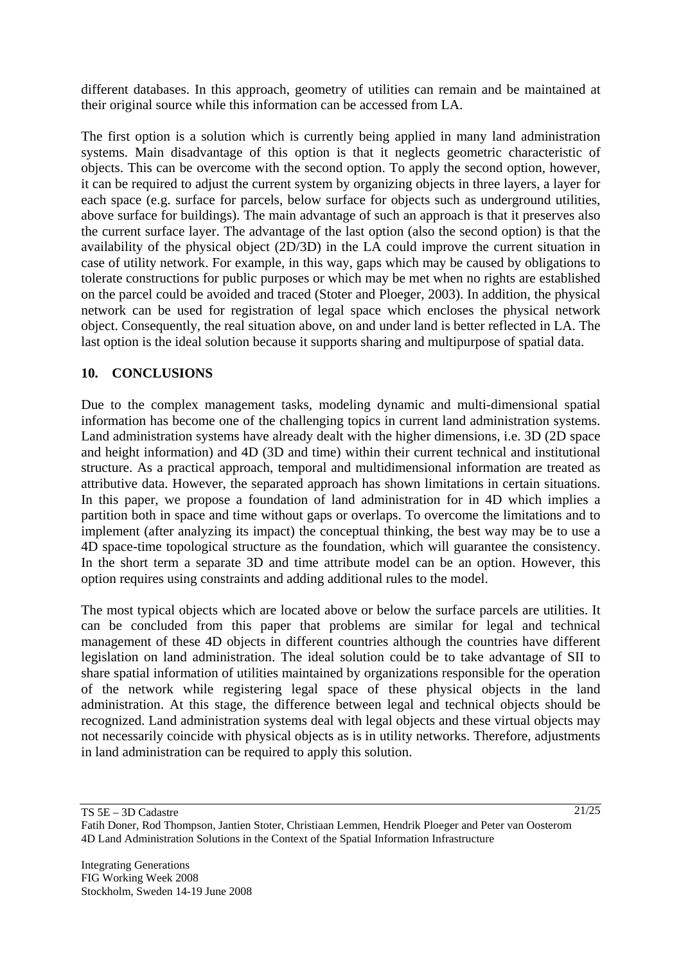different databases. In this approach, geometry of utilities can remain and be maintained at their original source while this information can be accessed from LA.

The first option is a solution which is currently being applied in many land administration systems. Main disadvantage of this option is that it neglects geometric characteristic of objects. This can be overcome with the second option. To apply the second option, however, it can be required to adjust the current system by organizing objects in three layers, a layer for each space (e.g. surface for parcels, below surface for objects such as underground utilities, above surface for buildings). The main advantage of such an approach is that it preserves also the current surface layer. The advantage of the last option (also the second option) is that the availability of the physical object (2D/3D) in the LA could improve the current situation in case of utility network. For example, in this way, gaps which may be caused by obligations to tolerate constructions for public purposes or which may be met when no rights are established on the parcel could be avoided and traced (Stoter and Ploeger, 2003). In addition, the physical network can be used for registration of legal space which encloses the physical network object. Consequently, the real situation above, on and under land is better reflected in LA. The last option is the ideal solution because it supports sharing and multipurpose of spatial data.

## **10. CONCLUSIONS**

Due to the complex management tasks, modeling dynamic and multi-dimensional spatial information has become one of the challenging topics in current land administration systems. Land administration systems have already dealt with the higher dimensions, i.e. 3D (2D space and height information) and 4D (3D and time) within their current technical and institutional structure. As a practical approach, temporal and multidimensional information are treated as attributive data. However, the separated approach has shown limitations in certain situations. In this paper, we propose a foundation of land administration for in 4D which implies a partition both in space and time without gaps or overlaps. To overcome the limitations and to implement (after analyzing its impact) the conceptual thinking, the best way may be to use a 4D space-time topological structure as the foundation, which will guarantee the consistency. In the short term a separate 3D and time attribute model can be an option. However, this option requires using constraints and adding additional rules to the model.

The most typical objects which are located above or below the surface parcels are utilities. It can be concluded from this paper that problems are similar for legal and technical management of these 4D objects in different countries although the countries have different legislation on land administration. The ideal solution could be to take advantage of SII to share spatial information of utilities maintained by organizations responsible for the operation of the network while registering legal space of these physical objects in the land administration. At this stage, the difference between legal and technical objects should be recognized. Land administration systems deal with legal objects and these virtual objects may not necessarily coincide with physical objects as is in utility networks. Therefore, adjustments in land administration can be required to apply this solution.

TS 5E – 3D Cadastre Fatih Doner, Rod Thompson, Jantien Stoter, Christiaan Lemmen, Hendrik Ploeger and Peter van Oosterom 4D Land Administration Solutions in the Context of the Spatial Information Infrastructure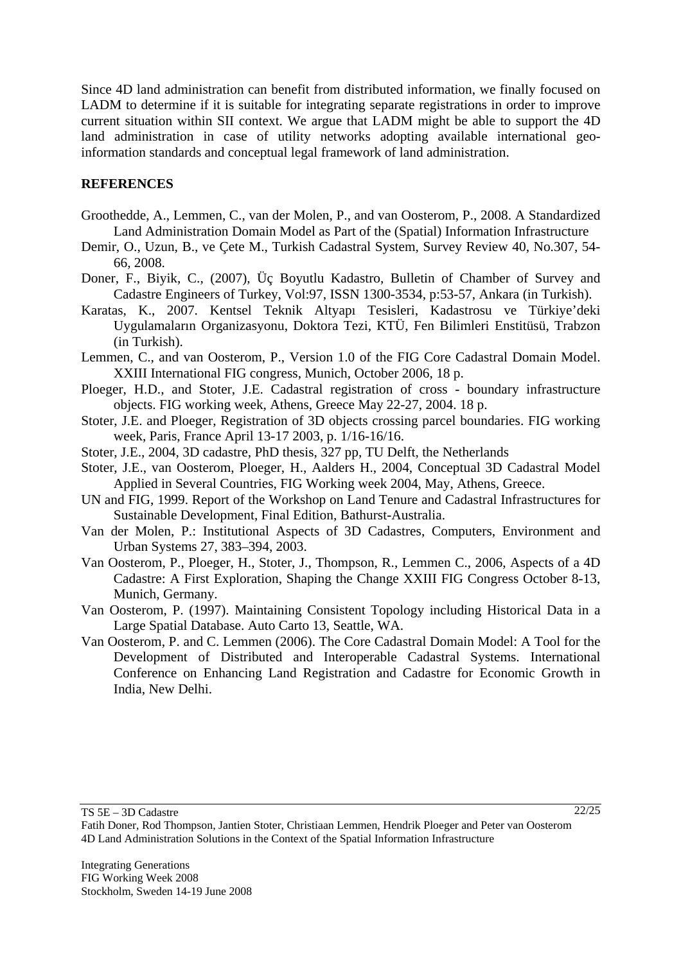Since 4D land administration can benefit from distributed information, we finally focused on LADM to determine if it is suitable for integrating separate registrations in order to improve current situation within SII context. We argue that LADM might be able to support the 4D land administration in case of utility networks adopting available international geoinformation standards and conceptual legal framework of land administration.

### **REFERENCES**

- Groothedde, A., Lemmen, C., van der Molen, P., and van Oosterom, P., 2008. A Standardized Land Administration Domain Model as Part of the (Spatial) Information Infrastructure
- Demir, O., Uzun, B., ve Çete M., Turkish Cadastral System, Survey Review 40, No.307, 54- 66, 2008.
- Doner, F., Biyik, C., (2007), Üç Boyutlu Kadastro, Bulletin of Chamber of Survey and Cadastre Engineers of Turkey, Vol:97, ISSN 1300-3534, p:53-57, Ankara (in Turkish).
- Karatas, K., 2007. Kentsel Teknik Altyapı Tesisleri, Kadastrosu ve Türkiye'deki Uygulamaların Organizasyonu, Doktora Tezi, KTÜ, Fen Bilimleri Enstitüsü, Trabzon (in Turkish).
- Lemmen, C., and van Oosterom, P., Version 1.0 of the FIG Core Cadastral Domain Model. XXIII International FIG congress, Munich, October 2006, 18 p.
- Ploeger, H.D., and Stoter, J.E. Cadastral registration of cross boundary infrastructure objects. FIG working week, Athens, Greece May 22-27, 2004. 18 p.
- Stoter, J.E. and Ploeger, Registration of 3D objects crossing parcel boundaries. FIG working week, Paris, France April 13-17 2003, p. 1/16-16/16.
- Stoter, J.E., 2004, 3D cadastre, PhD thesis, 327 pp, TU Delft, the Netherlands
- Stoter, J.E., van Oosterom, Ploeger, H., Aalders H., 2004, Conceptual 3D Cadastral Model Applied in Several Countries, FIG Working week 2004, May, Athens, Greece.
- UN and FIG, 1999. Report of the Workshop on Land Tenure and Cadastral Infrastructures for Sustainable Development, Final Edition, Bathurst-Australia.
- Van der Molen, P.: Institutional Aspects of 3D Cadastres, Computers, Environment and Urban Systems 27, 383–394, 2003.
- Van Oosterom, P., Ploeger, H., Stoter, J., Thompson, R., Lemmen C., 2006, Aspects of a 4D Cadastre: A First Exploration, Shaping the Change XXIII FIG Congress October 8-13, Munich, Germany.
- Van Oosterom, P. (1997). Maintaining Consistent Topology including Historical Data in a Large Spatial Database. Auto Carto 13, Seattle, WA.
- Van Oosterom, P. and C. Lemmen (2006). The Core Cadastral Domain Model: A Tool for the Development of Distributed and Interoperable Cadastral Systems. International Conference on Enhancing Land Registration and Cadastre for Economic Growth in India, New Delhi.

TS 5E – 3D Cadastre

Fatih Doner, Rod Thompson, Jantien Stoter, Christiaan Lemmen, Hendrik Ploeger and Peter van Oosterom 4D Land Administration Solutions in the Context of the Spatial Information Infrastructure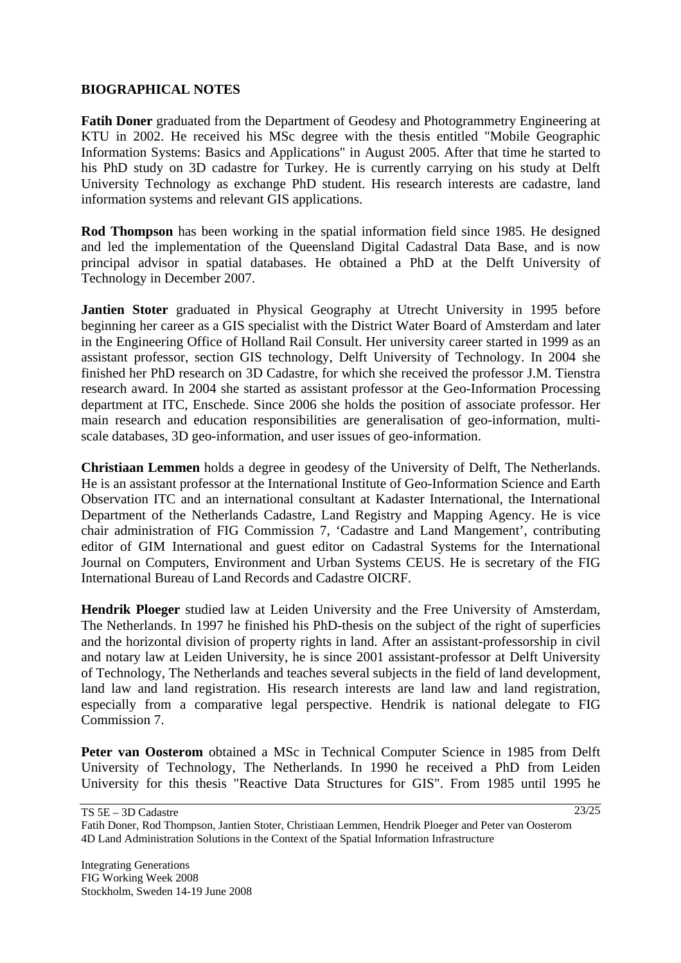### **BIOGRAPHICAL NOTES**

**Fatih Doner** graduated from the Department of Geodesy and Photogrammetry Engineering at KTU in 2002. He received his MSc degree with the thesis entitled "Mobile Geographic Information Systems: Basics and Applications" in August 2005. After that time he started to his PhD study on 3D cadastre for Turkey. He is currently carrying on his study at Delft University Technology as exchange PhD student. His research interests are cadastre, land information systems and relevant GIS applications.

**Rod Thompson** has been working in the spatial information field since 1985. He designed and led the implementation of the Queensland Digital Cadastral Data Base, and is now principal advisor in spatial databases. He obtained a PhD at the Delft University of Technology in December 2007.

**Jantien Stoter** graduated in Physical Geography at Utrecht University in 1995 before beginning her career as a GIS specialist with the District Water Board of Amsterdam and later in the Engineering Office of Holland Rail Consult. Her university career started in 1999 as an assistant professor, section GIS technology, Delft University of Technology. In 2004 she finished her PhD research on 3D Cadastre, for which she received the professor J.M. Tienstra research award. In 2004 she started as assistant professor at the Geo-Information Processing department at ITC, Enschede. Since 2006 she holds the position of associate professor. Her main research and education responsibilities are generalisation of geo-information, multiscale databases, 3D geo-information, and user issues of geo-information.

**Christiaan Lemmen** holds a degree in geodesy of the University of Delft, The Netherlands. He is an assistant professor at the International Institute of Geo-Information Science and Earth Observation ITC and an international consultant at Kadaster International, the International Department of the Netherlands Cadastre, Land Registry and Mapping Agency. He is vice chair administration of FIG Commission 7, 'Cadastre and Land Mangement', contributing editor of GIM International and guest editor on Cadastral Systems for the International Journal on Computers, Environment and Urban Systems CEUS. He is secretary of the FIG International Bureau of Land Records and Cadastre OICRF.

**Hendrik Ploeger** studied law at Leiden University and the Free University of Amsterdam, The Netherlands. In 1997 he finished his PhD-thesis on the subject of the right of superficies and the horizontal division of property rights in land. After an assistant-professorship in civil and notary law at Leiden University, he is since 2001 assistant-professor at Delft University of Technology, The Netherlands and teaches several subjects in the field of land development, land law and land registration. His research interests are land law and land registration, especially from a comparative legal perspective. Hendrik is national delegate to FIG Commission 7.

**Peter van Oosterom** obtained a MSc in Technical Computer Science in 1985 from Delft University of Technology, The Netherlands. In 1990 he received a PhD from Leiden University for this thesis "Reactive Data Structures for GIS". From 1985 until 1995 he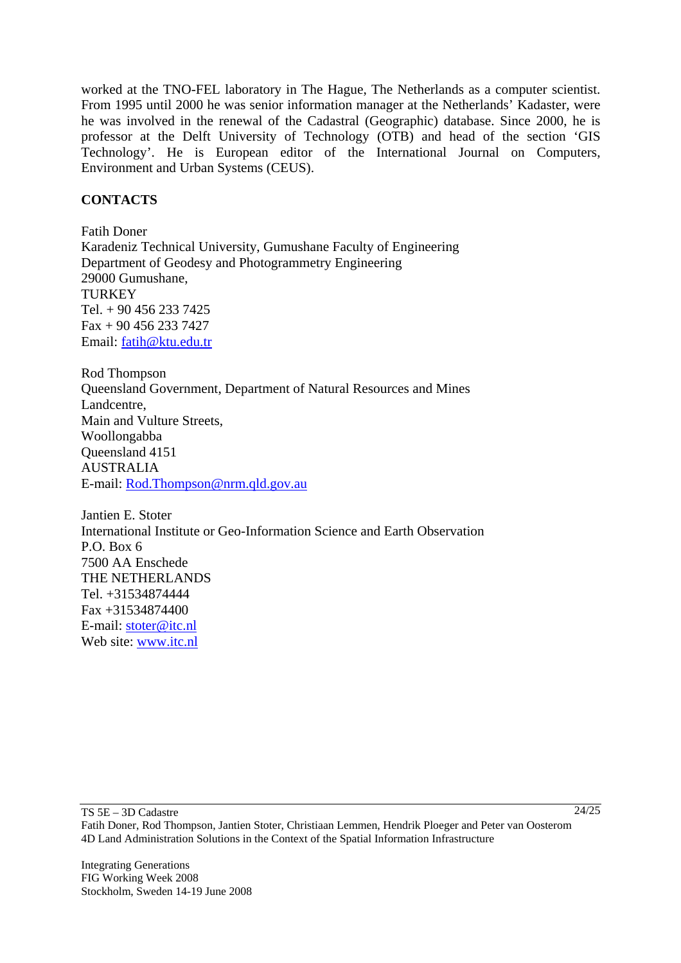worked at the TNO-FEL laboratory in The Hague, The Netherlands as a computer scientist. From 1995 until 2000 he was senior information manager at the Netherlands' Kadaster, were he was involved in the renewal of the Cadastral (Geographic) database. Since 2000, he is professor at the Delft University of Technology (OTB) and head of the section 'GIS Technology'. He is European editor of the International Journal on Computers, Environment and Urban Systems (CEUS).

## **CONTACTS**

Fatih Doner Karadeniz Technical University, Gumushane Faculty of Engineering Department of Geodesy and Photogrammetry Engineering 29000 Gumushane, **TURKEY** Tel. + 90 456 233 7425 Fax + 90 456 233 7427 Email: fatih@ktu.edu.tr

Rod Thompson Queensland Government, Department of Natural Resources and Mines Landcentre, Main and Vulture Streets, Woollongabba Queensland 4151 AUSTRALIA E-mail: Rod.Thompson@nrm.qld.gov.au

Jantien E. Stoter International Institute or Geo-Information Science and Earth Observation P.O. Box 6 7500 AA Enschede THE NETHERLANDS Tel. +31534874444 Fax +31534874400 E-mail: stoter@itc.nl Web site: www.itc.nl